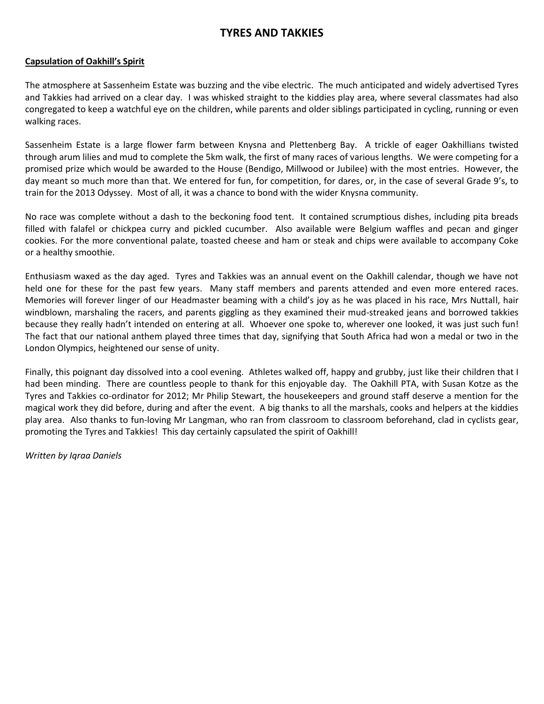## **TYRES AND TAKKIES**

## **Capsulation of Oakhill's Spirit**

The atmosphere at Sassenheim Estate was buzzing and the vibe electric. The much anticipated and widely advertised Tyres and Takkies had arrived on a clear day. I was whisked straight to the kiddies play area, where several classmates had also congregated to keep a watchful eye on the children, while parents and older siblings participated in cycling, running or even walking races.

Sassenheim Estate is a large flower farm between Knysna and Plettenberg Bay. A trickle of eager Oakhillians twisted through arum lilies and mud to complete the 5km walk, the first of many races of various lengths. We were competing for a promised prize which would be awarded to the House (Bendigo, Millwood or Jubilee) with the most entries. However, the day meant so much more than that. We entered for fun, for competition, for dares, or, in the case of several Grade 9's, to train for the 2013 Odyssey. Most of all, it was a chance to bond with the wider Knysna community.

No race was complete without a dash to the beckoning food tent. It contained scrumptious dishes, including pita breads filled with falafel or chickpea curry and pickled cucumber. Also available were Belgium waffles and pecan and ginger cookies. For the more conventional palate, toasted cheese and ham or steak and chips were available to accompany Coke or a healthy smoothie.

Enthusiasm waxed as the day aged. Tyres and Takkies was an annual event on the Oakhill calendar, though we have not held one for these for the past few years. Many staff members and parents attended and even more entered races. Memories will forever linger of our Headmaster beaming with a child's joy as he was placed in his race, Mrs Nuttall, hair windblown, marshaling the racers, and parents giggling as they examined their mud-streaked jeans and borrowed takkies because they really hadn't intended on entering at all. Whoever one spoke to, wherever one looked, it was just such fun! The fact that our national anthem played three times that day, signifying that South Africa had won a medal or two in the London Olympics, heightened our sense of unity.

Finally, this poignant day dissolved into a cool evening. Athletes walked off, happy and grubby, just like their children that I had been minding. There are countless people to thank for this enjoyable day. The Oakhill PTA, with Susan Kotze as the Tyres and Takkies co-ordinator for 2012; Mr Philip Stewart, the housekeepers and ground staff deserve a mention for the magical work they did before, during and after the event. A big thanks to all the marshals, cooks and helpers at the kiddies play area. Also thanks to fun-loving Mr Langman, who ran from classroom to classroom beforehand, clad in cyclists gear, promoting the Tyres and Takkies! This day certainly capsulated the spirit of Oakhill!

*Written by Iqraa Daniels*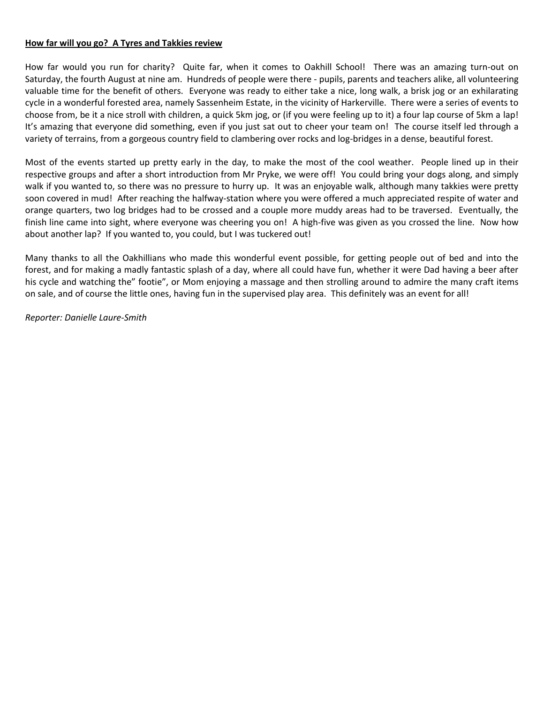## **How far will you go? A Tyres and Takkies review**

How far would you run for charity? Quite far, when it comes to Oakhill School! There was an amazing turn-out on Saturday, the fourth August at nine am. Hundreds of people were there - pupils, parents and teachers alike, all volunteering valuable time for the benefit of others. Everyone was ready to either take a nice, long walk, a brisk jog or an exhilarating cycle in a wonderful forested area, namely Sassenheim Estate, in the vicinity of Harkerville. There were a series of events to choose from, be it a nice stroll with children, a quick 5km jog, or (if you were feeling up to it) a four lap course of 5km a lap! It's amazing that everyone did something, even if you just sat out to cheer your team on! The course itself led through a variety of terrains, from a gorgeous country field to clambering over rocks and log-bridges in a dense, beautiful forest.

Most of the events started up pretty early in the day, to make the most of the cool weather. People lined up in their respective groups and after a short introduction from Mr Pryke, we were off! You could bring your dogs along, and simply walk if you wanted to, so there was no pressure to hurry up. It was an enjoyable walk, although many takkies were pretty soon covered in mud! After reaching the halfway-station where you were offered a much appreciated respite of water and orange quarters, two log bridges had to be crossed and a couple more muddy areas had to be traversed. Eventually, the finish line came into sight, where everyone was cheering you on! A high-five was given as you crossed the line. Now how about another lap? If you wanted to, you could, but I was tuckered out!

Many thanks to all the Oakhillians who made this wonderful event possible, for getting people out of bed and into the forest, and for making a madly fantastic splash of a day, where all could have fun, whether it were Dad having a beer after his cycle and watching the" footie", or Mom enjoying a massage and then strolling around to admire the many craft items on sale, and of course the little ones, having fun in the supervised play area. This definitely was an event for all!

*Reporter: Danielle Laure-Smith*